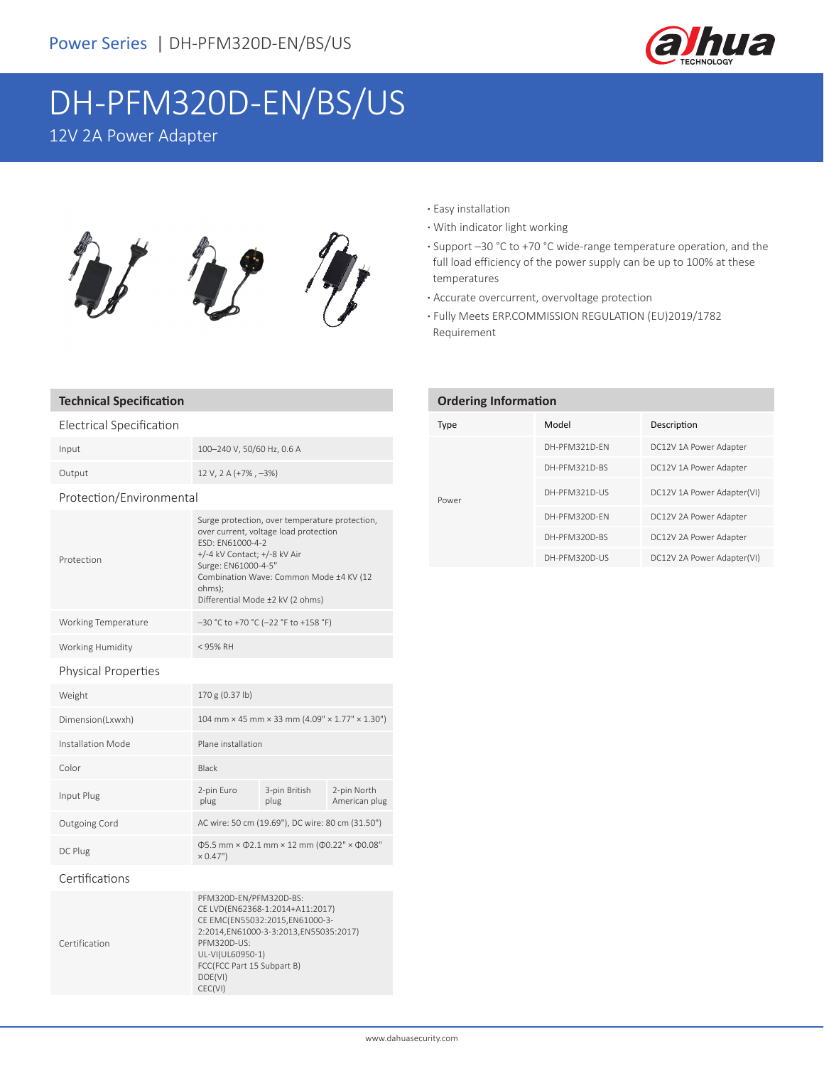

# DH-PFM320D-EN/BS/US

12V 2A Power Adapter



# **Technical Specification**

## Electrical Specification

| Input  | 100-240 V, 50/60 Hz, 0.6 A     |
|--------|--------------------------------|
| Output | $12 V$ , $2 A (+7\%$ , $-3\%)$ |

#### Protection/Environmental

| Protection                 | Surge protection, over temperature protection,<br>over current, voltage load protection<br>FSD: FN61000-4-2<br>+/-4 kV Contact; +/-8 kV Air<br>Surge: EN61000-4-5"<br>Combination Wave: Common Mode ±4 KV (12<br>ohms):<br>Differential Mode ±2 kV (2 ohms) |
|----------------------------|-------------------------------------------------------------------------------------------------------------------------------------------------------------------------------------------------------------------------------------------------------------|
| Working Temperature        | $-30$ °C to +70 °C (-22 °F to +158 °F)                                                                                                                                                                                                                      |
| Working Humidity           | $<$ 95% RH                                                                                                                                                                                                                                                  |
| <b>Physical Properties</b> |                                                                                                                                                                                                                                                             |

| Weight            | 170 g (0.37 lb)                                                                       |                       |                              |
|-------------------|---------------------------------------------------------------------------------------|-----------------------|------------------------------|
| Dimension(Lxwxh)  | 104 mm $\times$ 45 mm $\times$ 33 mm (4.09" $\times$ 1.77" $\times$ 1.30")            |                       |                              |
| Installation Mode | Plane installation                                                                    |                       |                              |
| Color             | Black                                                                                 |                       |                              |
| Input Plug        | 2-pin Euro<br>plug                                                                    | 3-pin British<br>plug | 2-pin North<br>American plug |
| Outgoing Cord     | AC wire: 50 cm (19.69"), DC wire: 80 cm (31.50")                                      |                       |                              |
| DC Plug           | $\Phi$ 5.5 mm × $\Phi$ 2.1 mm × 12 mm ( $\Phi$ 0.22" × $\Phi$ 0.08"<br>$\times 0.47"$ |                       |                              |

### Certifications

|               | PFM320D-EN/PFM320D-BS:                |
|---------------|---------------------------------------|
|               | CE LVD(EN62368-1:2014+A11:2017)       |
|               | CE EMC(EN55032:2015,EN61000-3-        |
|               | 2:2014,EN61000-3-3:2013,EN55035:2017) |
| Certification | PFM320D-US:                           |
|               | UL-VI(UL60950-1)                      |
|               | FCC(FCC Part 15 Subpart B)            |
|               | DOE(VI)                               |
|               | CEC(VI)                               |
|               |                                       |

- **·** Easy installation
- **·** With indicator light working
- **·** Support –30 °C to +70 °C wide-range temperature operation, and the full load efficiency of the power supply can be up to 100% at these temperatures
- **·** Accurate overcurrent, overvoltage protection
- **·** Fully Meets ERP.COMMISSION REGULATION (EU)2019/1782 Requirement

| <b>Ordering Information</b> |               |                            |  |  |
|-----------------------------|---------------|----------------------------|--|--|
| Type                        | Model         | Description                |  |  |
|                             | DH-PFM321D-FN | DC12V 1A Power Adapter     |  |  |
|                             | DH-PFM321D-BS | DC12V 1A Power Adapter     |  |  |
| Power                       | DH-PFM321D-US | DC12V 1A Power Adapter(VI) |  |  |

DH-PFM320D-EN DC12V 2A Power Adapter DH-PFM320D-BS DC12V 2A Power Adapter DH-PFM320D-US DC12V 2A Power Adapter(VI)